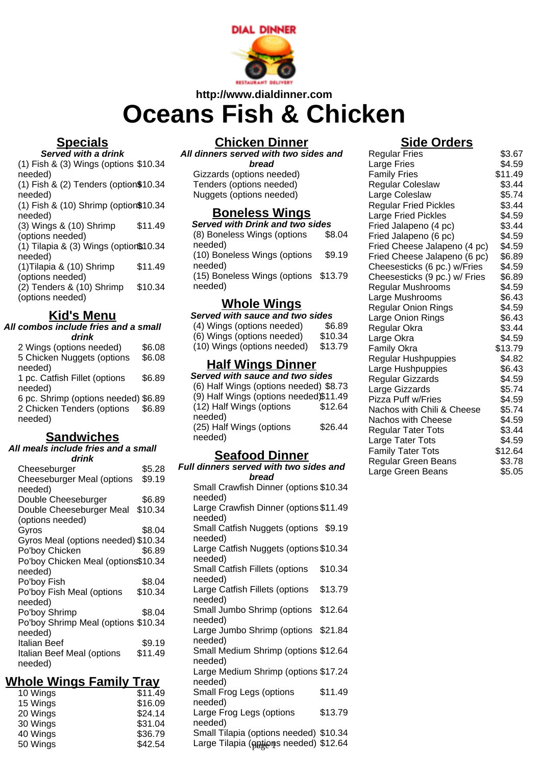

# **http://www.dialdinner.com Oceans Fish & Chicken**

## **Specials**

**Served with a drink**

(1) Fish & (3) Wings (options \$10.34 needed) (1) Fish & (2) Tenders (option\$10.34 needed) (1) Fish & (10) Shrimp (option\$10.34 needed) (3) Wings & (10) Shrimp (options needed) \$11.49 (1) Tilapia & (3) Wings (option\$10.34 needed) (1)Tilapia & (10) Shrimp (options needed) \$11.49 (2) Tenders & (10) Shrimp (options needed) \$10.34

## **Kid's Menu**

#### **All combos include fries and a small drink**

2 Wings (options needed) \$6.08 5 Chicken Nuggets (options needed) \$6.08 1 pc. Catfish Fillet (options needed) \$6.89 6 pc. Shrimp (options needed) \$6.89 2 Chicken Tenders (options needed) \$6.89

#### **Sandwiches**

#### **All meals include fries and a small drink**

| Cheeseburger                        | \$5.28  |
|-------------------------------------|---------|
| <b>Cheeseburger Meal (options</b>   | \$9.19  |
| needed)                             |         |
| Double Cheeseburger                 | \$6.89  |
| Double Cheeseburger Meal            | \$10.34 |
| (options needed)                    |         |
| Gyros                               | \$8.04  |
| Gyros Meal (options needed) \$10.34 |         |
| Po'boy Chicken                      | \$6.89  |
| Po'boy Chicken Meal (options\$10.34 |         |
| needed)                             |         |
| Po'boy Fish                         | \$8.04  |
| Po'boy Fish Meal (options           | \$10.34 |
| needed)                             |         |
| Po'boy Shrimp                       | \$8.04  |
| Po'boy Shrimp Meal (options \$10.34 |         |
| needed)                             |         |
| Italian Beef                        | \$9.19  |
| Italian Beef Meal (options          | \$11.49 |
| needed)                             |         |

#### **Whole Wings Family Tray**

| 10 Wings | \$11.49 |
|----------|---------|
| 15 Wings | \$16.09 |
| 20 Wings | \$24.14 |
| 30 Wings | \$31.04 |
| 40 Wings | \$36.79 |
| 50 Wings | \$42.54 |
|          |         |

## **Chicken Dinner**

**All dinners served with two sides and bread** Gizzards (options needed) Tenders (options needed) Nuggets (options needed)

#### **Boneless Wings**

**Served with Drink and two sides** (8) Boneless Wings (options needed) \$8.04 (10) Boneless Wings (options needed) \$9.19 (15) Boneless Wings (options \$13.79 needed)

#### **Whole Wings**

| Served with sauce and two sides |         |  |
|---------------------------------|---------|--|
| (4) Wings (options needed)      | \$6.89  |  |
| (6) Wings (options needed)      | \$10.34 |  |
| (10) Wings (options needed)     | \$13.79 |  |
| <b>Half Wings Dinner</b>        |         |  |
| Served with sauce and two sides |         |  |

| u 11.ul ouuvo ullu liiv oluv           |         |
|----------------------------------------|---------|
| (6) Half Wings (options needed) \$8.73 |         |
| (9) Half Wings (options needed)\$11.49 |         |
| (12) Half Wings (options               | \$12.64 |
| needed)                                |         |
| (25) Half Wings (options               | \$26.44 |
| needed)                                |         |
|                                        |         |

#### **Seafood Dinner**

| Full dinners served with two sides and                                           |
|----------------------------------------------------------------------------------|
| bread                                                                            |
| Small Crawfish Dinner (options \$10.34<br>needed)                                |
| Large Crawfish Dinner (options \$11.49<br>needed)                                |
| Small Catfish Nuggets (options \$9.19<br>needed)                                 |
| Large Catfish Nuggets (options \$10.34<br>needed)                                |
| \$10.34<br>Small Catfish Fillets (options<br>needed)                             |
| \$13.79<br>Large Catfish Fillets (options<br>needed)                             |
| Small Jumbo Shrimp (options \$12.64<br>needed)                                   |
| Large Jumbo Shrimp (options \$21.84<br>needed)                                   |
| Small Medium Shrimp (options \$12.64<br>needed)                                  |
| Large Medium Shrimp (options \$17.24<br>needed)                                  |
| \$11.49<br>Small Frog Legs (options<br>needed)                                   |
| Large Frog Legs (options<br>\$13.79<br>needed)                                   |
| Small Tilapia (options needed) \$10.34<br>Large Tilapia (eptions needed) \$12.64 |

#### **Side Orders**

| <b>Regular Fries</b>          | \$3.67  |
|-------------------------------|---------|
| Large Fries                   | \$4.59  |
| <b>Family Fries</b>           | \$11.49 |
| <b>Regular Coleslaw</b>       | \$3.44  |
| Large Coleslaw                | \$5.74  |
| <b>Regular Fried Pickles</b>  | \$3.44  |
| <b>Large Fried Pickles</b>    | \$4.59  |
| Fried Jalapeno (4 pc)         | \$3.44  |
| Fried Jalapeno (6 pc)         | \$4.59  |
| Fried Cheese Jalapeno (4 pc)  | \$4.59  |
| Fried Cheese Jalapeno (6 pc)  | \$6.89  |
| Cheesesticks (6 pc.) w/Fries  | \$4.59  |
| Cheesesticks (9 pc.) w/ Fries | \$6.89  |
| Regular Mushrooms             | \$4.59  |
| Large Mushrooms               | \$6.43  |
| <b>Regular Onion Rings</b>    | \$4.59  |
| Large Onion Rings             | \$6.43  |
| Regular Okra                  | \$3.44  |
| Large Okra                    | \$4.59  |
| <b>Family Okra</b>            | \$13.79 |
| Regular Hushpuppies           | \$4.82  |
| Large Hushpuppies             | \$6.43  |
| Regular Gizzards              | \$4.59  |
| Large Gizzards                | \$5.74  |
| <b>Pizza Puff w/Fries</b>     | \$4.59  |
| Nachos with Chili & Cheese    | \$5.74  |
| Nachos with Cheese            | \$4.59  |
| <b>Regular Tater Tots</b>     | \$3.44  |
| Large Tater Tots              | \$4.59  |
| <b>Family Tater Tots</b>      | \$12.64 |
| Regular Green Beans           | \$3.78  |
| Large Green Beans             | \$5.05  |
|                               |         |